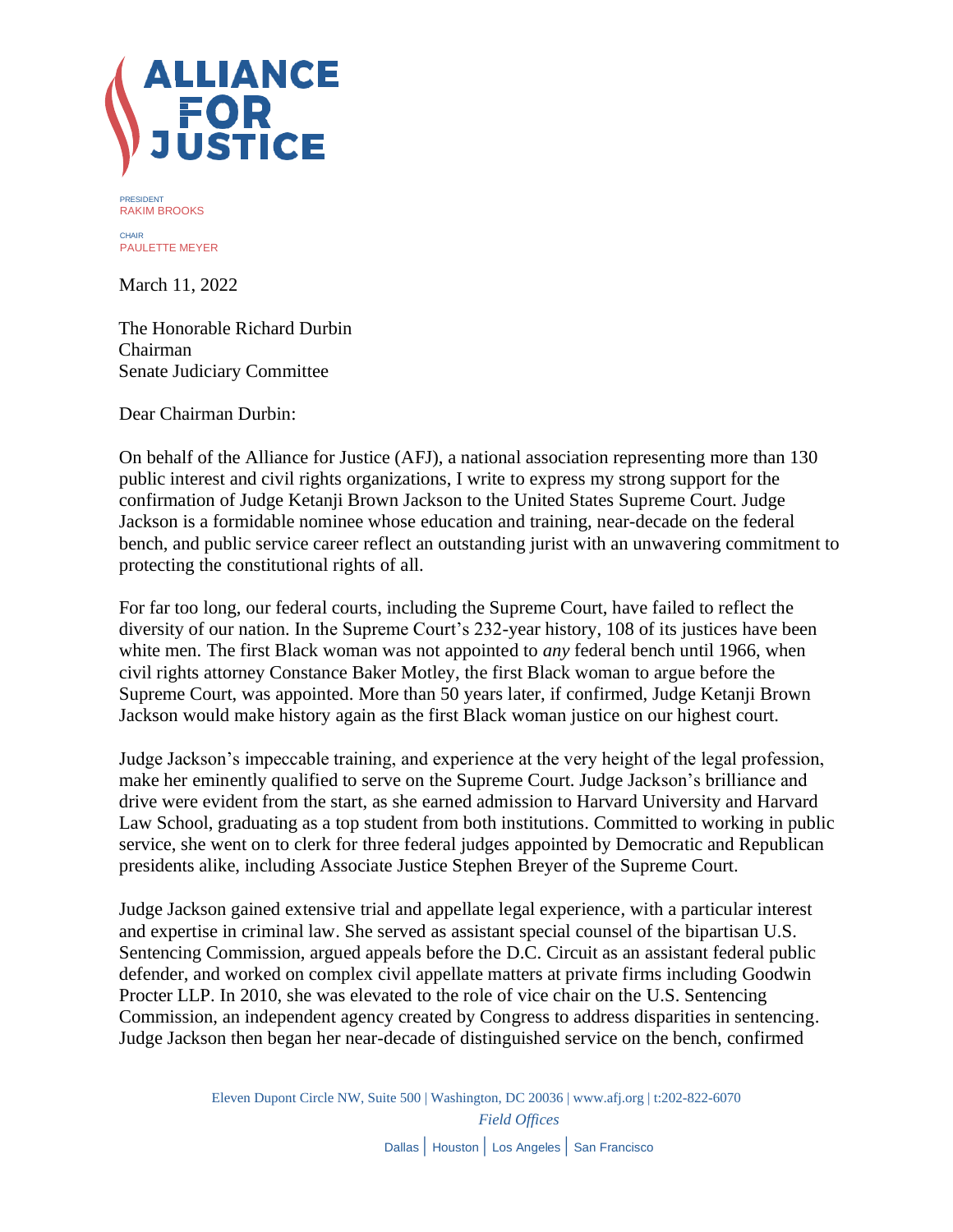

PRESIDENT RAKIM BROOKS **CHAIR** PAULETTE MEYER

March 11, 2022

The Honorable Richard Durbin Chairman Senate Judiciary Committee

Dear Chairman Durbin:

On behalf of the Alliance for Justice (AFJ), a national association representing more than 130 public interest and civil rights organizations, I write to express my strong support for the confirmation of Judge Ketanji Brown Jackson to the United States Supreme Court. Judge Jackson is a formidable nominee whose education and training, near-decade on the federal bench, and public service career reflect an outstanding jurist with an unwavering commitment to protecting the constitutional rights of all.

For far too long, our federal courts, including the Supreme Court, have failed to reflect the diversity of our nation. In the Supreme Court's 232-year history, 108 of its justices have been white men. The first Black woman was not appointed to *any* federal bench until 1966, when civil rights attorney Constance Baker Motley, the first Black woman to argue before the Supreme Court, was appointed. More than 50 years later, if confirmed, Judge Ketanji Brown Jackson would make history again as the first Black woman justice on our highest court.

Judge Jackson's impeccable training, and experience at the very height of the legal profession, make her eminently qualified to serve on the Supreme Court. Judge Jackson's brilliance and drive were evident from the start, as she earned admission to Harvard University and Harvard Law School, graduating as a top student from both institutions. Committed to working in public service, she went on to clerk for three federal judges appointed by Democratic and Republican presidents alike, including Associate Justice Stephen Breyer of the Supreme Court.

Judge Jackson gained extensive trial and appellate legal experience, with a particular interest and expertise in criminal law. She served as assistant special counsel of the bipartisan U.S. Sentencing Commission, argued appeals before the D.C. Circuit as an assistant federal public defender, and worked on complex civil appellate matters at private firms including Goodwin Procter LLP. In 2010, she was elevated to the role of vice chair on the U.S. Sentencing Commission, an independent agency created by Congress to address disparities in sentencing. Judge Jackson then began her near-decade of distinguished service on the bench, confirmed

> Eleven Dupont Circle NW, Suite 500 | Washington, DC 20036 [| www.afj.org](http://www.afj.org/) | t:202-822-6070 *Field Offices* Dallas | Houston | Los Angeles | San Francisco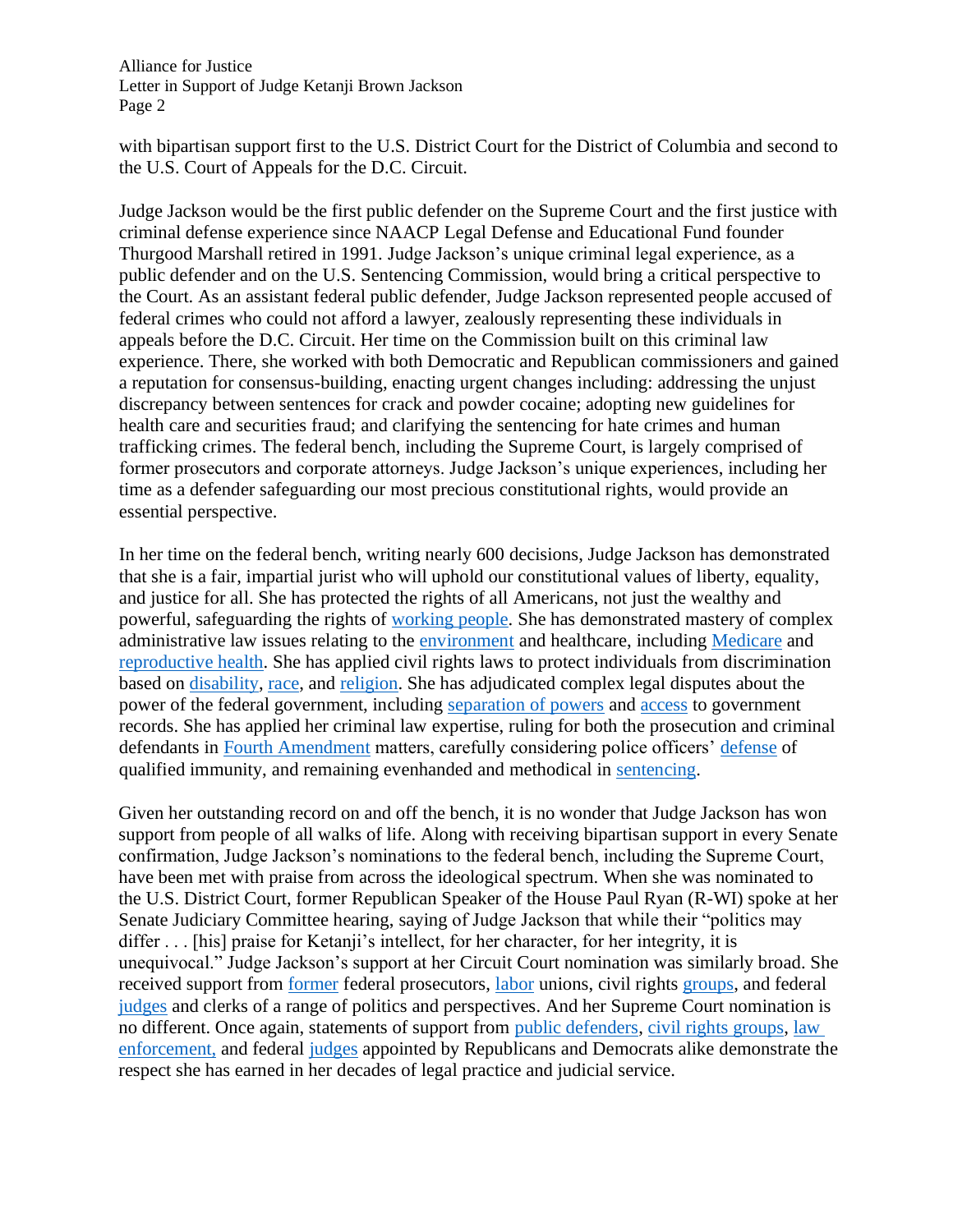Alliance for Justice Letter in Support of Judge Ketanji Brown Jackson Page 2

with bipartisan support first to the U.S. District Court for the District of Columbia and second to the U.S. Court of Appeals for the D.C. Circuit.

Judge Jackson would be the first public defender on the Supreme Court and the first justice with criminal defense experience since NAACP Legal Defense and Educational Fund founder Thurgood Marshall retired in 1991. Judge Jackson's unique criminal legal experience, as a public defender and on the U.S. Sentencing Commission, would bring a critical perspective to the Court. As an assistant federal public defender, Judge Jackson represented people accused of federal crimes who could not afford a lawyer, zealously representing these individuals in appeals before the D.C. Circuit. Her time on the Commission built on this criminal law experience. There, she worked with both Democratic and Republican commissioners and gained a reputation for consensus-building, enacting urgent changes including: addressing the unjust discrepancy between sentences for crack and powder cocaine; adopting new guidelines for health care and securities fraud; and clarifying the sentencing for hate crimes and human trafficking crimes. The federal bench, including the Supreme Court, is largely comprised of former prosecutors and corporate attorneys. Judge Jackson's unique experiences, including her time as a defender safeguarding our most precious constitutional rights, would provide an essential perspective.

In her time on the federal bench, writing nearly 600 decisions, Judge Jackson has demonstrated that she is a fair, impartial jurist who will uphold our constitutional values of liberty, equality, and justice for all. She has protected the rights of all Americans, not just the wealthy and powerful, safeguarding the rights of [working people.](https://www.cadc.uscourts.gov/internet/opinions.nsf/7B60B8352A5EE0A9852587DC00533AA7/$file/20-1396-1933161.pdf) She has demonstrated mastery of complex administrative law issues relating to the [environment](https://casetext.com/case/govt-of-guam-v-united-states-2) and healthcare, including [Medicare](https://www.cadc.uscourts.gov/internet/opinions.nsf/A3506A6FEFE582F7852587CE005544BF/$file/21-5186-1930944.pdf) and [reproductive health.](https://cases.justia.com/federal/district-courts/district-of-columbia/dcdce/1:2018cv00346/193532/22/0.pdf?ts=1526127333) She has applied civil rights laws to protect individuals from discrimination based on [disability,](https://scholar.google.com/scholar_case?case=3156787379233062371&hl=en&as_sdt=6&as_vis=1&oi=scholarr) [race,](https://casetext.com/case/willis-v-gray-1) and [religion.](https://casetext.com/case/tyson-v-brennan-3) She has adjudicated complex legal disputes about the power of the federal government, including [separation of powers](https://casetext.com/case/comm-on-judiciary-v-mcgahn) and [access](https://law.justia.com/cases/federal/district-courts/district-of-columbia/dcdce/1:2016cv01068/179523/40/) to government records. She has applied her criminal law expertise, ruling for both the prosecution and criminal defendants in [Fourth Amendment](https://casetext.com/case/united-states-v-richardson-222) matters, carefully considering police officers' [defense](https://law.justia.com/cases/federal/district-courts/district-of-columbia/dcdce/1:2013cv00085/158029/18/) of qualified immunity, and remaining evenhanded and methodical in [sentencing.](https://casetext.com/case/united-states-v-young-595)

Given her outstanding record on and off the bench, it is no wonder that Judge Jackson has won support from people of all walks of life. Along with receiving bipartisan support in every Senate confirmation, Judge Jackson's nominations to the federal bench, including the Supreme Court, have been met with praise from across the ideological spectrum. When she was nominated to the U.S. District Court, former Republican Speaker of the House Paul Ryan (R-WI) spoke at her Senate Judiciary Committee hearing, saying of Judge Jackson that while their "politics may differ . . . [his] praise for Ketanji's intellect, for her character, for her integrity, it is unequivocal." Judge Jackson's support at her Circuit Court nomination was similarly broad. She received support from former federal prosecutors, [labor](https://www.judiciary.senate.gov/imo/media/doc/Judge%20Ketanji%20Brown%20Jackson.pdf) unions, civil rights [groups,](https://www.judiciary.senate.gov/imo/media/doc/4.27.21%20-%20LCCHR%20Support%20for%20KBJ.pdf) and federal [judges](https://www.judiciary.senate.gov/imo/media/doc/4.21.21%20-%20Judge%20Thomas%20Griffith%20Support%20for%20KBJ.pdf) and clerks of a range of politics and perspectives. And her Supreme Court nomination is no different. Once again, statements of support from [public defenders,](https://www.fd.org/sites/default/files/news/2022.02.25_scotus_final.pdf) [civil rights groups,](https://civilrights.org/2022/02/25/bidens-historic-nomination-of-judge-jackson-moves-us-closer-to-equal-justice-under-law/) [law](https://fop.net/2022/02/fop-national-president-patrick-yoes-statement-on-nomination-of-ketanji-brown-jackson-to-scotus/)  [enforcement,](https://fop.net/2022/02/fop-national-president-patrick-yoes-statement-on-nomination-of-ketanji-brown-jackson-to-scotus/) and federal [judges](https://www.documentcloud.org/documents/21279044-luttig-letter-endorsing-judge-jackson-for-supreme-court) appointed by Republicans and Democrats alike demonstrate the respect she has earned in her decades of legal practice and judicial service.